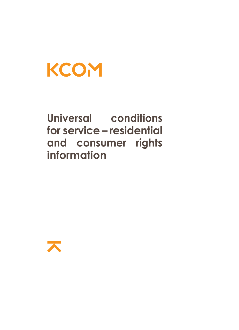# **KCOM**

**Universal conditions for service – residential and consumer rights information**

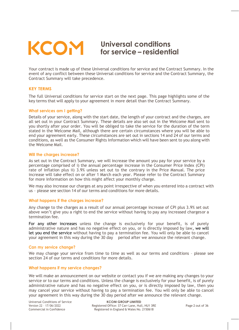# **Universal conditions for service – residential**

# Your contract is made up of these Universal conditions for service and the Contract Summary. In the event of any conflict between these Universal conditions for service and the Contract Summary, the Contract Summary will take precedence.

#### **KEY TERMS**

The full Universal conditions for service start on the next page. This page highlights some of the key terms that will apply to your agreement in more detail than the Contract Summary.

#### **What services am I getting?**

Details of your service, along with the start date, the length of your contract and the charges, are all set out in your Contract Summary. These details are also set out in the Welcome Mail sent to you shortly after your order. You will be obliged to take the service for the duration of the term stated in the Welcome Mail, although there are certain circumstances where you will be able to end your agreement early. These circumstances are set out in sections 14 and 24 of our terms and conditions, as well as the Consumer Rights Information which will have been sent to you along with the Welcome Mail.

#### **Will the charges increase?**

As set out in the Contract Summary, we will increase the amount you pay for your service by a percentage comprised of i) the annual percentage increase in the Consumer Price Index (CPI) rate of inflation plus ii) 3.9% unless set out to the contrary in the Price Manual. The price increase will take effect on or after 1 March each year. Please refer to the Contract Summary for more information on how this might affect your monthly charge.

We may also increase our charges at any point irrespective of when you entered into a contract with us – please see section <sup>14</sup> of our terms and conditions for more details.

#### **What happens if the charges increase?**

Any change to the charges as a result of our annual percentage increase of CPI plus 3.9% set out above won't give you a right to end the service without having to pay any increased chargesor a termination fee.

For any other increases unless the change is exclusively for your benefit, is of purely administrative nature and has no negative effect on you, or is directly imposed by law, we will let you end the service without having to pay a termination fee. You will only be able to cancel your agreement in this way during the 30 day period after we announce the relevant change.

#### **Can my service change?**

We may change your service from time to time as well as our terms and conditions – please see section 24 of our terms and conditions for more details.

#### **What happens if my service changes?**

We will make an announcement on our website or contact you if we are making any changes to your service or to our terms and conditions. Unless the change is exclusively for your benefit, is of purely administrative nature and has no negative effect on you, or is directly imposed by law, then you may cancel your service without having to pay a termination fee. You will only be able to cancel your agreement in this way during the 30 day period after we announce the relevant change.

Universal Conditions of Service Version 22 – 17/06/2022 Commercial in Confidence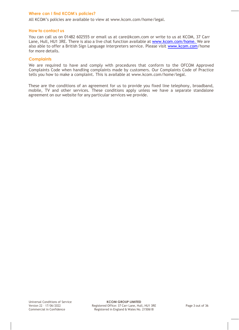# **Where can I find KCOM's policies?**

All KCOM's policies are available to view at [www.kcom.com/home/legal.](http://www.kcom.com/home/legal.)

# **How to contact us**

You can call us on 01482 602555 or email us at [care@kcom.com o](mailto:care@kcom.com)r write to us at KCOM, 37 Carr Lane, Hull, HU1 3RE. There is also a live chat function available at [www.kcom.com/home. W](http://www.kcom.com/home.)e are also able to offer a British Sign Language interpreters service. Please visit [www.kcom.com/](http://www.kcom.com/)home for more details.

# **Complaints**

We are required to have and comply with procedures that conform to the OFCOM Approved Complaints Code when handling complaints made by customers. Our Complaints Code of Practice tells you how to make a complaint. This is available at [www.kcom.com/home/legal.](http://www.kcomhome.com/legal)

These are the conditions of an agreement for us to provide you fixed line telephony, broadband, mobile, TV and other services. These conditions apply unless we have a separate standalone agreement on our website for any particular services we provide.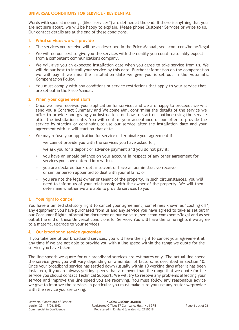# **UNIVERSAL CONDITIONS FOR SERVICE - RESIDENTIAL**

Words with special meanings (like "services") are defined at the end. If there is anything that you are not sure about, we will be happy to explain. Please phone Customer Services or write to us. Our contact details are at the end of these conditions.

# **1. What services we will provide**

- > The services you receive will be as described in the Price Manual, see kcom.com/home/legal.
- > We will do our best to give you the services with the quality you could reasonably expect from a competent communications company.
- > We will give you an expected installation date when you agree to take service from us. We will do our best to install your service by this date. Further information on the compensation we will pay if we miss the installation date we give you is set out in the Automatic Compensation Policy.
- > You must comply with any conditions or service restrictions that apply to your service that are set out in the Price Manual.

#### **2. When your agreement starts**

- > Once we have received your application for service, and we are happy to proceed, we will send you a Contract Summary and Welcome Mail confirming the details of the service we offer to provide and giving you instructions on how to start or continue using the service after the installation date. You will confirm your acceptance of our offer to provide the service by starting or continuing to use our service after the installation date and your agreement with us will start on that date.
- We may refuse your application for service or terminate your agreement if:
	- > we cannot provide you with the services you have asked for;
	- > we ask you for a deposit or advance payment and you do not pay it;
	- > you have an unpaid balance on your account in respect of any other agreement for services you have entered into with us;
	- > you are declared bankrupt, insolvent or have an administrative receiver or similar person appointed to deal with your affairs; or
	- > you are not the legal owner or tenant of the property. In such circumstances, you will need to inform us of your relationship with the owner of the property. We will then determine whether we are able to provide services to you.

# **3. Your right to cancel**

You have a limited statutory right to cancel your agreement, sometimes known as 'cooling off', any equipment you have purchased from us and any service you have agreed to take as set out in our Consumer Rights Information document on our website, see kcom.com/home/legal and as set out at the end of these Universal conditions for Service. You will have the same rights if we agree to a material upgrade to your services.

#### **4. Our broadband service guarantee**

If you take one of our broadband services, you will have the right to cancel your agreement at any time if we are not able to provide you with a line speed within the range we quote for the service you have taken.

The line speeds we quote for our broadband services are estimates only. The actual line speed the service gives you will vary depending on a number of factors, as described in Section 10. Once your broadband service has settled down (usually within 10 working days after it has been installed), if you are always getting speeds that are lower than the range that we quote for the service you should contact Technical Support. We will try to resolve any problems affecting your service and improve the line speed you are receiving. You must follow any reasonable advice we give to improve the service. In particular you must make sure you use any router weprovide with the service you are taking.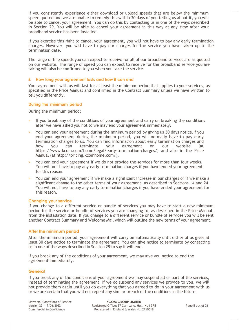If you consistently experience either download or upload speeds that are below the minimum speed quoted and we are unable to remedy this within 30 days of you telling us about it, you will be able to cancel your agreement. You can do this by contacting us in one of the ways described in Section 29. You will be able to cancel your agreement in this way at any time after your broadband service has been installed.

If you exercise this right to cancel your agreement, you will not have to pay any early termination charges. However, you will have to pay our charges for the service you have taken up to the termination date.

The range of line speeds you can expect to receive for all of our broadband services are as quoted on our website. The range of speed you can expect to receive for the broadband service you are taking will also be confirmed to you when you take the service.

#### **5. How long your agreement lasts and how it can end**

Your agreement with us will last for at least the minimum period that applies to your services, as specified in the Price Manual and confirmed in the Contract Summary unless we have written to tell you differently.

#### **During the minimum period**

During the minimum period;

- If you break any of the conditions of your agreement and carry on breaking the conditions after we have asked you not to we may end your agreement immediately.
- > You can end your agreement during the minimum period by giving us 30 days notice.If you end your agreement during the minimum period, you will normally have to pay early termination charges to us. You can find information about early termination charges and you can terminate your agreement on our website (at https://www.kcom.com/home/legal/early-termination-charges/) and also in the Price Manual (at http://pricing.kcomhome.com/).
- You can end your agreement if we do not provide the services for more than four weeks. You will not have to pay any early termination charges if you have ended your agreement for this reason.
- > You can end your agreement if we make a significant increase in our charges or if we make a significant change to the other terms of your agreement, as described in Sections 14 and 24. You will not have to pay any early termination charges if you have ended your agreement for this reason.

#### **Changing your service**

If you change to a different service or bundle of services you may have to start a new minimum period for the service or bundle of services you are changing to, as described in the Price Manual, from the installation date. If you change to a different service or bundle of services you will be sent another Contract Summary and Welcome Mail which will outline the new terms of your agreement.

#### **After the minimum period**

After the minimum period, your agreement will carry on automatically until either of us gives at least 30 days notice to terminate the agreement. You can give notice to terminate by contacting us in one of the ways described in Section 29 to say it will end.

If you break any of the conditions of your agreement, we may give you notice to end the agreement immediately.

#### **General**

If you break any of the conditions of your agreement we may suspend all or part of the services, instead of terminating the agreement. If we do suspend any services we provide to you, we will not provide them again until you do everything that you agreed to do in your agreement with us or we are certain that you will not repeat any similar breach of the conditions in the future.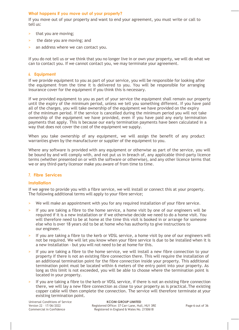# **What happens if you move out of your property?**

If you move out of your property and want to end your agreement, you must write or call to tell us:

- > that you are moving;
- > the date you are moving; and
- an address where we can contact you.

If you do not tell us or we think that you no longer live in or own your property, we will do what we can to contact you. If we cannot contact you, we may terminate your agreement.

#### **6. Equipment**

If we provide equipment to you as part of your service, you will be responsible for looking after the equipment from the time it is delivered to you. You will be responsible for arranging insurance cover for the equipment if you think this is necessary.

If we provided equipment to you as part of your service the equipment shall remain our property until the expiry of the minimum period, unless we tell you something different. If you have paid all of the charges, you will take ownership of the equipment we have provided on the expiry of the minimum period. If the service is cancelled during the minimum period you will not take ownership of the equipment we have provided, even if you have paid any early termination payments that apply. This is because our early termination payments have been calculated in a way that does not cover the cost of the equipment we supply.

When you take ownership of any equipment, we will assign the benefit of any product warranties given by the manufacturer or supplier of the equipment to you.

Where any software is provided with any equipment or otherwise as part of the service, you will be bound by and will comply with, and not put us in breach of, any applicable third-party licence terms (whether presented on or with the software or otherwise), and any other licence terms that we or any third-party licensor make you aware of from time to time.

# **7. Fibre Services**

# **Installation**

If we agree to provide you with a fibre service, we will install or connect this at your property. The following additional terms will apply to your fibre service;

- > We will make an appointment with you for any required installation of your fibre service.
- If you are taking a fibre to the home service, a home visit by one of our engineers will be required if it is a new installation or if we otherwise decide we need to do a home visit. You will therefore need to be at home at the time this visit is booked in or arrange for someone else who is over 18 years old to be at home who has authority to give instructions to our engineer.
- If you are taking a fibre to the kerb or VDSL service, a home visit by one of our engineers will not be required. We will let you know when your fibre service is due to be installed when it is a new installation - but you will not need to be at home for this.
- If you are taking a fibre to the home service, we will install a new fibre connection to your property if there is not an existing fibre connection there. This will require the installation of an additional termination point for the fibre connection inside your property. This additional termination point must be located within 6 meters of the entry point into your property. As long as this limit is not exceeded, you will be able to choose where the termination point is located in your property.
- > If you are taking a fibre to the kerb or VDSL service, if there is not an existing fibre connection there, we will lay a new fibre connection as close to your property as is practical.The existing copper cable will then complete the connection. The service will therefore terminate at your existing termination point.

Universal Conditions of Service Version 22 – 17/06/2022 Commercial in Confidence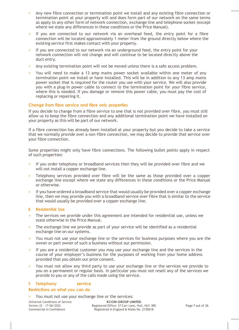- Any new fibre connection or termination point we install and any existing fibre connection or termination point at your property will and does form part of our network on the same terms as apply to any other form of network connection, exchange line and telephone socket (except where we state any differences in these conditions or the Price Manual).
- If you are connected to our network via an overhead feed, the entry point for a fibre connection will be located approximately 1 meter from the ground directly below where the existing service first makes contact with your property.
- If you are connected to our network via an underground feed, the entry point for your network connection will not change and will continue to be located directly above the duct entry.
- Any existing termination point will not be moved unless there is a safe access problem.
- > You will need to make a 13 amp mains power socket available within one meter of any termination point we install or have installed. This will be in addition to any 13 amp mains power socket that is required for the router you use with your service. We will also provide you with a plug-in power cable to connect to the termination point for your fibre service, where this is needed. If you damage or remove this power cable, you must pay the cost of replacing or repairing it.

# **Change from fibre service and fibre only properties**

If you decide to change from a fibre service to one that is not provided over fibre, you must still allow us to keep the fibre connection and any additional termination point we have installed on your property as this will be part of our network.

If a fibre connection has already been installed at your property but you decide to take a service that we normally provide over a non-fibre connection, we may decide to provide that service over your fibre connection.

Some properties might only have fibre connections. The following bullet points apply in respect of such properties:

- If you order telephony or broadband services then they will be provided over fibre and we will not install a copper exchange line.
- Telephony services provided over fibre will be the same as those provided over a copper exchange line except where we state any differences in these conditions or the Price Manual or otherwise.
- If you have ordered a broadband service that would usually be provided over a copper exchange line, then we may provide you with a broadband service over fibre that is similar to the service that would usually be provided over a copper exchange line.

# **8. Residential Use**

- The services we provide under this agreement are intended for residential use, unless we state otherwise in the Price Manual.
- > The exchange line we provide as part of your service will be identified as a residential exchange line on our systems.
- > You must not use your exchange line or the services for business purposes where you are the owner or part owner of such a business without our permission.
- If you are a residential customer you may use your exchange line and the services in the course of your employer's business for the purposes of working from your home address provided that you obtain our prior consent.
- > You must not allow any third party to use your exchange line or the services we provide to you on a permanent or regular basis. In particular you must not resell any of the services we provide to you or any of the calls made using the service.

# **9. Telephony service**

# **Restrictions on what you can do**

You must not use your exchange line or the services:

Universal Conditions of Service Version 22 – 17/06/2022 Commercial in Confidence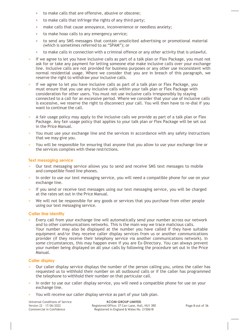- > to make calls that are offensive, abusive or obscene;
- > to make calls that infringe the rights of any third party;
- > make calls that cause annoyance, inconvenience or needless anxiety;
- > to make hoax calls to any emergency service;
- > to send any SMS messages that contain unsolicited advertising or promotional material (which is sometimes referred to as "SPAM"); or
- > to make calls in connection with a criminal offence or any other activity that is unlawful.
- If we agree to let you have inclusive calls as part of a talk plan or Flex Package, you must not ask for or take any payment for letting someone else make inclusive calls over your exchange line. Inclusive calls are not provided for business purposes or any other use inconsistent with normal residential usage. Where we consider that you are in breach of this paragraph, we reserve the right to withdraw your inclusive calls.
- If we agree to let you have inclusive calls as part of a talk plan or Flex Package, you must ensure that you use any inclusive calls within your talk plan or Flex Package with consideration for other users. You must not use inclusive calls irresponsibly by staying connected to a call for an excessive period. Where we consider that your use of inclusive calls is excessive, we reserve the right to disconnect your call. You will then have to re-dial if you want to continue the call.
- > A fair usage policy may apply to the inclusive calls we provide as part of a talk plan or Flex Package. Any fair usage policy that applies to your talk plan or Flex Package will be set out in the Price Manual.
- > You must use your exchange line and the services in accordance with any safety instructions that we may give you.
- > You will be responsible for ensuring that anyone that you allow to use your exchange line or the services complies with these restrictions.

#### **Text messaging service**

- Our text messaging service allows you to send and receive SMS text messages to mobile and compatible fixed line phones.
- In order to use our text messaging service, you will need a compatible phone for use on your exchange line.
- If you send or receive text messages using our text messaging service, you will be charged at the rates set out in the Price Manual.
- > We will not be responsible for any goods or services that you purchase from other people using our text messaging service.

#### **Caller line identity**

Every call from your exchange line will automatically send your number across our network and to other communications networks. This is the main way we trace malicious calls. Your number may also be displayed at the number you have called if they have suitable equipment and/or they receive caller display services from us or another communications provider (if they receive their telephony service via another communications network). In some circumstances, this may happen even if you are Ex-Directory. You can always prevent your number being displayed on all your calls by following the procedure set out in the Price Manual.

#### **Caller display**

- Our caller display service displays the number of the person calling you, unless the caller has requested us to withhold their number on all outbound calls or if the caller has programmed the telephone to withhold their number on that particular call.
- In order to use our caller display service, you will need a compatible phone for use on your exchange line.
- You will receive our caller display service as part of your talk plan.

Universal Conditions of Service Version 22 – 17/06/2022 Commercial in Confidence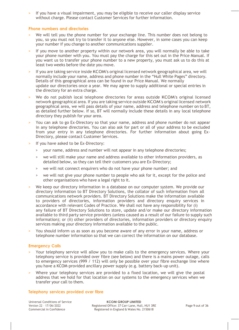If you have a visual impairment, you may be eligible to receive our caller display service without charge. Please contact Customer Services for further information.

#### **Phone numbers and directories**

- We will tell you the phone number for your exchange line. This number does not belong to you, so you must not try to transfer it to anyone else. However, in some cases you can keep your number if you change to another communications supplier.
- If you move to another property within our network area, you will normally be able to take your phone number with you. You must pay the charge for this set out in the Price Manual. If you want us to transfer your phone number to a new property, you must ask us to do this at least two weeks before the date you move.
- If you are taking service inside KCOM's original licensed network geographical area, we will normally include your name, address and phone number in the "Hull White Pages" directory. Details of this geographical area can be found in our Price Manual. We normally update our directories once a year. We may agree to supply additional or special entries in the directory for an extra charge.
- > We do not publish local telephone directories for areas outside KCOM's original licensed network geographical area. If you are taking service outside KCOM's original licensed network geographical area, we will pass details of your name, address and telephone number on to BT, as detailed further below. If so, BT will normally include these details in any local telephone directory they publish for your area.
- > You can ask to go Ex-Directory so that your name, address and phone number do not appear in any telephone directories. You can also ask for part or all of your address to be excluded from your entry in any telephone directories. For further information about going Ex-Directory, please contact Customer Services.
- If you have asked to be Ex-Directory:
	- > your name, address and number will not appear in any telephone directories;
	- > we will still make your name and address available to other information providers, as detailed below, so they can tell their customers you are Ex-Directory;
	- > we will not connect enquirers who do not have your phone number; and
	- > we will not give your phone number to people who ask for it, except for the police and other organisations who have a legal right to it.
- > We keep our directory information in a database on our computer system. We provide our directory information to BT Directory Solutions, the collator of such information from all communications network providers. BT Directory Solutions make the information available to providers of directories, information providers and directory enquiry services in accordance with relevant Codes of Practice. We shall not have any responsibility for (i) any failure of BT Directory Solutions to store, update and/or make our directory information available to third party service providers (unless caused as a result of our failure to supply such information); or (ii) other providers of directories, information providers or directory enquiry services making your directory information available to the public.
- > You should inform us as soon as you become aware of any error in your name, address or telephone number information so that we can correct the information on our database.

# **Emergency Calls**

- Your telephony service will allow you to make calls to the emergency services. Where your telephony service is provided over fibre (see below) and there is a mains power outage, calls to emergency services (999 / 112) will only be possible over your fibre exchange line where you have a KCOM-provided ancillary power supply (e.g. battery back-up unit).
- Where your telephony services are provided to a fixed location, we will give the postal address that we hold for that location on our systems to the emergency services when we transfer your call to them.

# **Telephony services provided over fibre**

Universal Conditions of Service Version 22 – 17/06/2022 Commercial in Confidence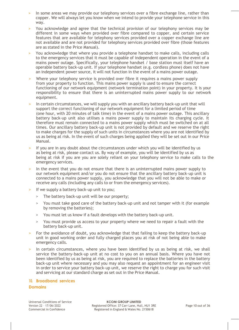- In some areas we may provide our telephony services over a fibre exchange line, rather than copper. We will always let you know when we intend to provide your telephone service in this way.
- > You acknowledge and agree that the technical provision of our telephony services may be different in some ways when provided over fibre compared to copper, and certain service features that are available for telephony services provided over a copper exchange line are not available and are not provided for telephony services provided over fibre (those features are as stated in the Price Manual).
- > You acknowledge that where you provide a telephone handset to make calls, including calls to the emergency services that it must be capable of independent operation in the event of a mains power outage. Specifically, your telephone handset / base station must itself have an operable battery back-up unit. If your telephone handset (e.g. cordless phone) does not have an independent power source, it will not function in the event of a mains power outage.
- > Where your telephony service is provided over fibre it requires a mains power supply from your property to function. This mains power supply is used to ensure the correct functioning of our network equipment (network termination point) in your property. It is your responsibility to ensure that there is an uninterrupted mains power supply to our network equipment.
- In certain circumstances, we will supply you with an ancillary battery back-up unit that will support the correct functioning of our network equipment for a limited period of time (one hour, with 20 minutes of talk time) in the event of a mains power outage. This ancillary battery back-up unit also utilises a mains power supply to maintain its charging cycle. It therefore must remain connected to a mains power supply which must be switched on at all times. Our ancillary battery back-up unit is not provided by default and we reserve the right to make charges for the supply of such units in circumstances where you are not identified by us as being at risk. In the event of such charges being applied they will be set out in our Price Manual.
- If you are in any doubt about the circumstances under which you will be identified by us as being at risk, please contact us. By way of example, you will be identified by us as being at risk if you are you are solely reliant on your telephony service to make calls to the emergency services.
- In the event that you do not ensure that there is an uninterrupted mains power supply to our network equipment and/or you do not ensure that the ancillary battery back-up unit is connected to a mains power supply, you acknowledge that you will not be able to make or receive any calls (including any calls to or from the emergency services).
- If we supply a battery back-up unit to you;
	- > The battery back-up unit will be our property;
	- > You must take good care of the battery back-up unit and not tamper with it (for example by removing the batteries);
	- > You must let us know if a fault develops with the battery back-up unit.
	- > You must provide us access to your property where we need to repair a fault with the battery back-up unit.
- For the avoidance of doubt, you acknowledge that that failing to keep the battery back-up unit in good working order and fully charged places you at risk of not being able to make emergency calls.
- In certain circumstances, where you have been identified by us as being at risk, we shall service the battery-back-up unit at no cost to you on an annual basis. Where you have not been identified by us as being at risk, you are required to replace the batteries in the battery back-up unit where necessary and you may also request an appointment for an engineer visit in order to service your battery back-up unit, we reserve the right to charge you for such visit and servicing at our standard charge as set out in the Price Manual.

# **10. Broadband services**

# **Domains**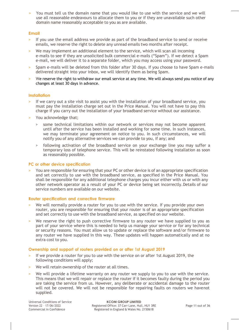> You must tell us the domain name that you would like to use with the service and we will use all reasonable endeavours to allocate them to you or if they are unavailable such other domain name reasonably acceptable to you as are available.

# **Email**

- > If you use the email address we provide as part of the broadband service to send or receive emails, we reserve the right to delete any unread emails two months after receipt.
- We may implement an additional element to the service, which will scan all incoming e-mails to see if they are unsolicited bulk commercial e-mails ("Spam"). If we detect a Spam e-mail, we will deliver it to a separate folder, which you may access using your password.
- > Spam e-mails will be deleted from this folder after 30 days. If you choose to have Spam e-mails delivered straight into your inbox, we will identify them as being Spam.
- We reserve the right to withdraw our email service at any time. We will always send you notice of any changes at least 30 days in advance.

# **Installation**

- If we carry out a site visit to assist you with the installation of your broadband service, you must pay the installation charge set out in the Price Manual. You will not have to pay this charge if you carry out the installation of your broadband service without our assistance.
- > You acknowledge that;
	- > some technical limitations within our network or services may not become apparent until after the service has been installed and working for some time. In such instances, we may terminate your agreement on notice to you. In such circumstances, we will notify you of any alternative services we can provide to you, if any; and
	- > following activation of the broadband service on your exchange line you may suffer a temporary loss of telephone service. This will be reinstated following installation as soon as reasonably possible.

#### **PC or other device specification**

> You are responsible for ensuring that your PC or other device is of an appropriate specification and set correctly to use with the broadband service, as specified in the Price Manual. You shall be responsible for any additional telephone charges you incur either with us or with any other network operator as a result of your PC or device being set incorrectly.Details of our service numbers are available on our website.

#### **Router specification and corrective firmware**

- We will normally provide a router for you to use with the service. If you provide your own router, you are responsible for ensuring that your router is of an appropriate specification and set correctly to use with the broadband service, as specified on our website.
- > We reserve the right to push corrective firmware to any router we have supplied to you as part of your service where this is needed to help us manage your service or for any technical or security reasons. You must allow us to update or replace the software and/or firmware to any router we have supplied in this way. These updates will happen automatically and at no extra cost to you.

# **Ownership and support of routers provided on or after 1st August 2019**

- > If we provide a router for you to use with the service on or after 1st August 2019, the following conditions will apply;
- We will retain ownership of the router at all times.
- We will provide a lifetime warranty on any router we supply to you to use with the service. This means that we will repair or replace the router if it becomes faulty during the period you are taking the service from us. However, any deliberate or accidental damage to the router will not be covered. We will not be responsible for repairing faults on routers we havenot supplied.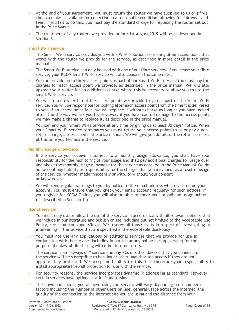- At the end of your agreement, you must return the router we have supplied to us or (if we choose) make it available for collection in a reasonable condition, allowing for fair wear and tear. If you fail to do this, you must pay the standard charge for replacing the router set out in the Price Manual.
- > The treatment of any routers we provided before 1st August 2019 will be as described in Section 6.

#### **Smart Wi-Fi Service**

- > The Smart Wi-Fi service provides you with a Wi-Fi solution, consisting of an access point that works with the router we provide for the service, as described in more detail in the price manual.
- The Smart Wi-Fi service can only be used with one of our fibre services. If you cease your fibre service, your KCOM Smart Wi-Fi service will also cease on the same date.
- We can provide up to three access points as part of our Smart Wi-Fi service. You must pay the charges for each access point we provide, as described in the price manual. We will also upgrade your router for no additional charge where this is necessary to allow you to use the Smart Wi-Fi service.
- We will retain ownership of the access points we provide to you as part of the Smart Wi-Fi service. You will be responsible for looking after each access point from the time it is delivered to you. If an access point fails, we will replace it without charge as long as you have looked after it in the way we ask you to. However, if you have caused damage to the access point, we may make a charge to replace it, as described in the price manual.
- > You can end your Smart Wi-Fi service at any time by giving us at least 30 days' notice. When your Smart Wi-Fi service terminates you must return your access points to us or pay a nonreturn charge, as described in the price manual. We will give you details of the returns process at the time you terminate the service.

#### **Monthly usage allowance**

- If the service you receive is subject to a monthly usage allowance, you shall have sole responsibility for the monitoring of your usage and shall pay additional charges for usage over and above the monthly usage allowance for the service as detailed in the Price Manual.We do not accept any liability or responsibility for the charges that you may incur as a resultof usage of the service, whether made innocently or with, or without, your consent or knowledge.
- We will send regular warnings to you by notice to the email address which is listed on your account. You must ensure that you check your email account regularly for such notices. If you register for KCOM Online, you will also be able to check your broadband usage online (as described in Section 14).

#### **Use of service**

- You must only use or allow the use of the service in accordance with all relevant policies that we include in our literature and publish online including but not limited to the Acceptable Use Policy, see kcom.com/home/legal. We reserve all those rights in respect of investigating or intervening in the service that are specified in the Acceptable Use Policy.
- > You must not use any applications or additional services that we provide for use in conjunction with the service (including in particular any online backup service) for the purpose of unlawful file sharing with other Internet users.
- The service is an "always on" service and any PCs or other devices that you connect to the service will be susceptible to hacking or other unauthorised access if they are not appropriately protected. We accept no liability for this. It is therefore your responsibility to install appropriate firewall protection for use with the service.
- > For security reasons, the service incorporates dynamic IP addressing as standard. However, certain services have optional static IP addressing.
- The download speeds you achieve using the service will vary depending on a number of factors including the number of other users on line, general usage across the Internet, the quality of the connection to the Internet site you are using and the distance from your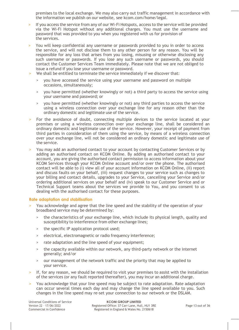premises to the local exchange. We may also carry out traffic management in accordance with the information we publish on our website, see kcom.com/home/legal.

- If you access the service from any of our Wi-Fi Hotspots, access to the service will be provided via the Wi-Fi Hotspot without any additional charges. You must use the username and password that was provided to you when you registered with us for provision of the services.
- > You will keep confidential any username or passwords provided to you in order to access the service, and will not disclose them to any other person for any reason. You will be responsible for any loss that arises from you losing, misusing or otherwise disclosing any such username or passwords. If you lose any such username or passwords, you should contact the Customer Services Team immediately. Please note that we are not obliged to issue a refund if you lose your username or password.
- We shall be entitled to terminate the service immediately if we discover that:
	- > you have accessed the service using your username and password on multiple occasions, simultaneously;
	- > you have permitted (whether knowingly or not) a third party to access the service using your username and password; or
	- > you have permitted (whether knowingly or not) any third parties to access the service using a wireless connection over your exchange line for any reason other than the ordinary domestic and legitimate use of the service.
- For the avoidance of doubt, connecting multiple devices to the service located at your premises or using a wireless connection over your exchange line, shall be considered an ordinary domestic and legitimate use of the service. However, your receipt of payment from third parties in consideration of them using the service, by means of a wireless connection over your exchange line, will not be considered an ordinary domestic and legitimate use of the service.
- > You may add an authorised contact to your account by contacting Customer Services or by adding an authorised contact on KCOM Online. By adding an authorised contact to your account, you are giving the authorised contact permission to access information about vour KCOM Services through your KCOM Online account and/or over the phone. The authorised contact will be able to (i) view all of your account information on KCOM Online, (ii) report and discuss faults on your behalf, (iii) request changes to your service such as changes to your billing and contact details, upgrades to your Service, cancelling your Service and/or ordering additional services on your behalf and (iv) speak to our Customer Service and or Technical Support teams about the services we provide to You, and you consent to us dealing with the authorised contact for these purposes.

# **Rate adaptation and stabilisation**

- > You acknowledge and agree that the line speed and the stability of the operation of your broadband service may be determined by:
	- > the characteristics of your exchange line, which include its physical length, quality and susceptibility to interference from other exchange lines;
	- > the specific IP application protocol used;
	- > electrical, electromagnetic or radio frequency interference;
	- > rate adaptation and the line speed of your equipment;
	- > the capacity available within our network, any third-party network or the internet generally; and/or
	- > our management of the network traffic and the priority that may be applied to your service.
- If, for any reason, we should be required to visit your premises to assist with the installation of the services (or any fault reported thereafter), you may incur an additional charge.
- > You acknowledge that your line speed may be subject to rate adaptation. Rate adaptation can occur several times each day and may change the line speed available to you. Such changes in the line speed may re-set your connection to our network or the DSLAM.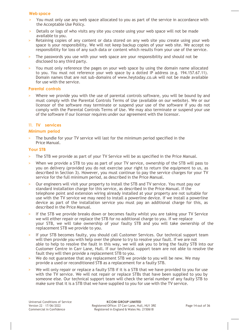#### **Web space**

- > You must only use any web space allocated to you as part of the service in accordance with the Acceptable Use Policy.
- Details or logs of who visits any site you create using your web space will not be made available to you.
- > Retaining copies of any content or data stored on any web site you create using your web space is your responsibility. We will not keep backup copies of your web site. We accept no responsibility for loss of any such data or content which results from your use of the service.
- The passwords you use with your web space are your responsibility and should not be disclosed to any third party.
- > You must only reference the pages on your web space by using the domain name allocated to you. You must not reference your web space by a dotted IP address (e.g. 194.157.67.11). Domain names that are not sub-domains of [www.heytoday.co.uk w](http://www.heytoday.co.uk/)ill not be made available for use with the service.

#### **Parental controls**

Where we provide you with the use of parental controls software, you will be bound by and must comply with the Parental Controls Terms of Use (available on our website). We or our licensor of the software may terminate or suspend your use of the software if you do not comply with the Parental Controls Terms of Use. We may also terminate or suspend your use of the software if our licensor requires under our agreement with the licensor.

# **11. TV services**

#### **Minimum period**

The bundle for your TV service will last for the minimum period specified in the Price Manual.

#### **Your STB**

- The STB we provide as part of your TV Service will be as specified in the Price Manual.
- > When we provide a STB to you as part of your TV service, ownership of the STB will pass to you on delivery (provided you do not exercise your right to return the equipment to us, as described in Section 3). However, you must continue to pay the service charges for your TV service for the full minimum period, as described in the Price Manual.
- Our engineers will visit your property to install the STB and TV service. You must pay our standard installation charge for this service, as described in the Price Manual. If the telephone point and extension wiring already installed at your property are not suitable for use with the TV service we may need to install a powerline device. If we install a powerline device as part of the installation service you must pay an additional charge for this, as described in the Price Manual.
- > If the STB we provide breaks down or becomes faulty whilst you are taking your TV Service we will either repair or replace the STB for no additional charge to you. If we replace your STB, we will take ownership of your faulty STB and you will take ownership of the replacement STB we provide to you.
- If your STB becomes faulty, you should call Customer Services. Our technical support team will then provide you with help over the phone to try to resolve your fault. If we are not able to help to resolve the fault in this way, we will ask you to bring the faulty STB into our Customer Centre in Carr Lane, Hull. If our technical support team are not able to resolve the fault they will then provide a replacement STB to you.
- > We do not guarantee that any replacement STB we provide to you will be new. We may provide a used or reconditioned STB as a replacement for a faulty STB.
- We will only repair or replace a faulty STB if it is a STB that we have provided to you for use with the TV service. We will not repair or replace STBs that have been supplied to you by someone else. Our technical support team will check the serial number of any faulty STB to make sure that it is a STB that we have supplied to you for use with the TV service.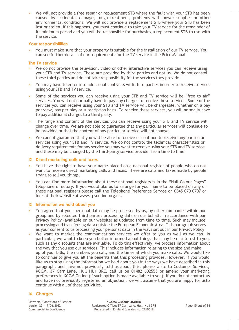We will not provide a free repair or replacement STB where the fault with your STB has been caused by accidental damage, rough treatment, problems with power supplies or other environmental conditions. We will not provide a replacement STB where your STB has been lost or stolen. If this happens, you must continue to take your TV service for the remainder of its minimum period and you will be responsible for purchasing a replacement STB to use with the service.

# **Your responsibilities**

You must make sure that your property is suitable for the installation of our TV service. You can see further details of our requirements for the TV service in the Price Manual.

#### **The TV service**

- We do not provide the television, video or other interactive services you can receive using your STB and TV service. These are provided by third parties and not us. We do not control these third parties and do not take responsibility for the services they provide.
- > You may have to enter into additional contracts with third parties in order to receive services using your STB and TV service.
- Some of the services you can receive using your STB and TV service will be "free to air" services. You will not normally have to pay any charges to receive these services. Some of the services you can receive using your STB and TV service will be chargeable, whether on a pay per view, pay per play or subscription basis. To receive these services, you will normally have to pay additional charges to a third party.
- > The range and content of the services you can receive using your STB and TV service will change over time. We are not able to guarantee that any particular services will continue to be provided or that the content of any particular service will not change.
- We cannot guarantee that you will be able to receive or continue to receive any particular services using your STB and TV service. We do not control the technical characteristics or delivery requirements for any service you may want to receive using your STB and TV service and these may be changed by the third-party service provider from time to time.

#### **12. Direct marketing calls and faxes**

- > You have the right to have your name placed on a national register of people who do not want to receive direct marketing calls and faxes. These are calls and faxes made by people trying to sell you things.
- > You can find more information about these national registers is in the "Hull Colour Pages" telephone directory. If you would like us to arrange for your name to be placed on any of these national registers please call the Telephone Preference Service on 0345 070 0707 or look at their website at [www.tpsonline.org.uk.](http://www.tpsonline.org.uk/)

#### **13. Information we hold about you**

- > You agree that your personal data may be processed by us, by other companies within our group and by selected third parties processing data on our behalf, in accordance with our Privacy Policy (available on our website) as updated from time to time. Such may include processing and transferring data outside the European Economic Area. This paragraph serves as your consent to us processing your personal data in the ways set out in our Privacy Policy.
- We want to market the communications services we offer to you as well as we can. In particular, we want to keep you better informed about things that may be of interest to you, such as any discounts that are available. To do this effectively, we process information about the way that you use our services. This includes information relating to the size and make up of your bills, the numbers you call, and the times at which you make calls. We would like to continue to give you all the benefits that this processing provides. However, if you would like us to stop using the information we hold about you in the ways we have described in this paragraph, and have not previously told us about this, please write to Customer Services, KCOM, 37 Carr Lane, Hull HU1 3RE, call us on 01482 602555 or amend your marketing preferences in KCOM Online (if such option is made available to you). If you do not contact us and have not previously registered an objection, we will assume that you are happy for usto continue with all of these activities.

# **14. Charges**

Universal Conditions of Service Version 22 – 17/06/2022 Commercial in Confidence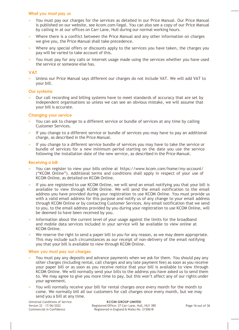#### **What you must pay us**

- > You must pay our charges for the services as detailed in our Price Manual. Our Price Manual is published on our website, see kcom.com/legal. You can also see a copy of our Price Manual by calling in at our offices on Carr Lane, Hull during our normal working hours.
- > Where there is a conflict between the Price Manual and any other information on charges we give you, the Price Manual shall take precedence.
- Where any special offers or discounts apply to the services you have taken, the charges you pay will be varied to take account of this.
- > You must pay for any calls or internet usage made using the services whether you have used the service or someone else has.

#### **VAT**

> Unless our Price Manual says different our charges do not include VAT. We will add VAT to your bill.

#### **Our systems**

Our call recording and billing systems have to meet standards of accuracy that are set by independent organisations so unless we can see an obvious mistake, we will assume that your bill is accurate.

#### **Changing your service**

- You can ask to change to a different service or bundle of services at any time by calling Customer Services.
- > If you change to a different service or bundle of services you may have to pay an additional charge, as described in the Price Manual.
- If you change to a different service bundle of services you may have to take the service or bundle of services for a new minimum period starting on the date you use the service following the installation date of the new service, as described in the Price Manual.

#### **Receiving a bill**

- > You can register to view your bills online at https://www.kcom.com/home/my-account/ ("KCOM Online"). Additional terms and conditions shall apply in respect of your use of KCOM Online, as detailed on KCOM Online.
- If you are registered to use KCOM Online, we will send an email notifying you that your bill is available to view through KCOM Online. We will send the email notification to the email address you have provided during your registration to use KCOM Online. You must provide us with a valid email address for this purpose and notify us of any change to your email address through KCOM Online or by contacting Customer Services. Any email notification that we send to you, to the email address provided by you during your registration to use KCOM Online, will be deemed to have been received by you.
- > Information about the current level of your usage against the limits for the broadband and mobile data services included in your service will be available to view online at KCOM Online.
- We reserve the right to send a paper bill to you for any reason, as we may deem appropriate. This may include such circumstances as our receipt of non-delivery of the email notifying you that your bill is available to view through KCOM Online.

#### **When you must pay our charges**

- > You must pay any deposits and advance payments when we ask for them. You should pay any other charges (including rental, call charges and any late payment fee) as soon as you receive your paper bill or as soon as you receive notice that your bill is available to view through KCOM Online. We will normally send your bills to the address you have asked us to send them to. We may agree to give you more time to pay, but this won't affect any of our rights under your agreement.
- > You will normally receive your bill for rental charges once every month for the month to come. We normally bill all our customers for call charges once every month, but we may send you a bill at any time.

Universal Conditions of Service Version 22 – 17/06/2022 Commercial in Confidence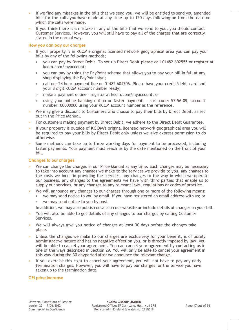- If we find any mistakes in the bills that we send you, we will be entitled to send you amended bills for the calls you have made at any time up to 120 days following on from the date on which the calls were made.
- > If you think there is a mistake in any of the bills that we send to you, you should contact Customer Services. However, you will still have to pay all of the charges that are correctly stated in the normal way.

#### **How you can pay our charges**

- If vour property is in KCOM's original licensed network geographical area you can pay your bills by any of the following methods;
	- > you can pay by Direct Debit. To set up Direct Debit please call 01482 602555 or register at kcom.com/myaccount;
	- > you can pay by using the PayPoint scheme that allows you to pay your bill in full at any shop displaying the PayPoint sign;
	- > call our 24 hour payment line on 01482 604706. Please have your credit/debit card and your 8 digit KCOM account number ready;
	- > make a payment online register at kcom.com/myaccount; or
	- > using your online banking option or faster payments sort code: 57-56-09, account number: 00000000 using your KCOM account number as the reference.
- We may give a discount to Customers who choose to pay their bills by Direct Debit, as set out in the Price Manual.
- For customers making payment by Direct Debit, we adhere to the Direct Debit Guarantee.
- > If your property is outside of KCOM's original licensed network geographical area you will be required to pay your bills by Direct Debit only unless we give express permission to do otherwise.
- Some methods can take up to three working days for payment to be processed, including faster payments. Your payment must reach us by the date mentioned on the front of your bill.

#### **Changes to our charges**

- We can change the charges in our Price Manual at any time. Such changes may be necessary to take into account any changes we make to the services we provide to you, any changes to the costs we incur in providing the services, any changes to the way in which we operate our business, any changes to the agreements we have with third parties that enable us to supply our services, or any changes to any relevant laws, regulations or codes of practice.
- We will announce any changes to our charges through one or more of the following means: > we may send notice to you by email, if you have registered an email address with us; or
	- > we may send notice to you by post.

In addition, we may also publish details on our website or include details of changes on your bill.

- > You will also be able to get details of any changes to our charges by calling Customer Services.
- > We will always give you notice of changes at least 30 days before the changes take place.
- Unless the changes we make to our charges are exclusively for your benefit, is of purely administrative nature and has no negative effect on you, or is directly imposed by law, you will be able to cancel your agreement. You can cancel your agreement by contacting us in one of the ways described in Section 29. You will only be able to cancel your agreement in this way during the 30 dayperiod after we announce the relevant change.
- If you exercise this right to cancel your agreement, you will not have to pay any early termination charges. However, you will have to pay our charges for the service you have taken up to the termination date.

# **CPI price increase**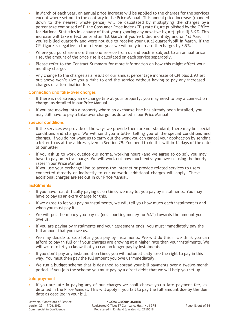- In March of each year, an annual price increase will be applied to the charges for the services except where set out to the contrary in the Price Manual. This annual price increase (rounded down to the nearest whole pence) will be calculated by multiplying the charges by a percentage comprised of i) the Consumer Price Index (CPI) rate figure published by the Office for National Statistics in January of that year (ignoring any negative figure), plus ii) 3.9%. This increase will take effect on or after 1st March if you're billed monthly; and on 1st March if you're billed quarterly and were not due to receive your usual quarterlybill in March. If the CPI figure is negative in the relevant year we will only increase thecharges by 3.9%.
- > Where you purchase more than one service from us and each is subject to an annual price rise, the amount of the price rise is calculated on each service separately.
- > Please refer to the Contract Summary for more information on how this might affect your monthly charge.
- > Any change to the charges as a result of our annual percentage increase of CPI plus 3.9% set out above won't give you a right to end the service without having to pay any increased charges or a termination fee.

# **Connection and take-over charges**

- If there is not already an exchange line at your property, you may need to pay a connection charge, as detailed in our Price Manual.
- If you are moving into a property where an exchange line has already been installed, you may still have to pay a take-over charge, as detailed in our Price Manual.

# **Special conditions**

- If the services we provide or the ways we provide them are not standard, there may be special conditions and charges. We will send you a letter telling you of the special conditions and charges. If you do not want us to carry out the work you can cancel your application by sending a letter to us at the address given in Section 29. You need to do this within 14 days of the date of our letter.
- If you ask us to work outside our normal working hours (and we agree to do so), you may have to pay an extra charge. We will work out how much extra you owe us using the hourly rates in our Price Manual.
- > If you use your exchange line to access the Internet or provide related services to users connected directly or indirectly to our network, additional charges will apply. These additional charges are set out in our Price Manual.

# **Instalments**

- If you have real difficulty paying us on time, we may let you pay by instalments. You may have to pay us an extra charge for this.
- > If we agree to let you pay by instalments, we will tell you how much each instalment is and when you must pay it.
- We will put the money you pay us (not counting money for VAT) towards the amount you owe us.
- > If you are paying by instalments and your agreement ends, you must immediately pay the full amount that you owe us.
- We may decide to stop letting you pay by instalments. We will do this if we think you can afford to pay in full or if your charges are growing at a higher rate than your instalments. We will write to let you know that you can no longer pay by instalments.
- > If you don't pay any instalment on time, you will automatically lose the right to pay in this way. You must then pay the full amount you owe us immediately.
- We run a budget scheme that is designed to spread your bill payments over a twelve-month period. If you join the scheme you must pay by a direct debit that we will help you set up.

# **Late payment**

If you are late in paying any of our charges we shall charge you a late payment fee, as detailed in the Price Manual. This will apply if you fail to pay the full amount due by the due date as detailed in your bill.

Universal Conditions of Service Version 22 – 17/06/2022 Commercial in Confidence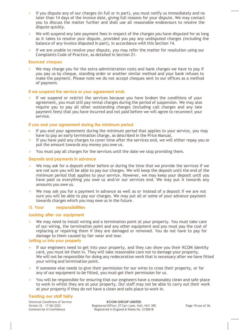- If you dispute any of our charges (in full or in part), you must notify us immediately and no later than 14 days of the invoice date, giving full reasons for your dispute. We may contact you to discuss the matter further and shall use all reasonable endeavours to resolve the dispute quickly.
- > We will suspend any late payment fees in respect of the charges you have disputed for as long as it takes to resolve your dispute, provided you pay any undisputed charges (including the balance of any invoice disputed in part), in accordance with this Section 14.
- > If we are unable to resolve your dispute, you may refer the matter for resolution using our Complaints Code of Practice, as detailed in Section 21.

#### **Bounced cheques**

We may charge you for the extra administration costs and bank charges we have to pay if you pay us by cheque, standing order or another similar method and your bank refuses to make the payment. Please note we do not accept cheques sent to our offices as a method of payment.

# **If we suspend the service or your agreement ends**

If we suspend or restrict the services because you have broken the conditions of your agreement, you must still pay rental charges during the period of suspension. We may also require you to pay all other outstanding charges (including call charges and any late payment fees) that you have incurred and not paid before we will agree to reconnect your service.

#### **If you end your agreement during the minimum period**

- If you end your agreement during the minimum period that applies to your service, you may have to pay an early termination charge, as described in the Price Manual.
- > If you have paid any charges to cover time after the services end, we will either repay you or put the amount towards any money you owe us.
- > You must pay all charges for the services until the date we stop providing them.

#### **Deposits and payments in advance**

- We may ask for a deposit either before or during the time that we provide the services if we are not sure you will be able to pay our charges. We will keep the deposit until the end of the minimum period that applies to your service. However, we may keep your deposit until you have paid us everything you owe us and/or our services end. We may put it towards any amounts you owe us.
- We may ask you for a payment in advance as well as or instead of a deposit if we are not sure you will be able to pay our charges. We may put all or some of your advance payment towards charges which you may owe us in the future.

# **15. Your responsibilities**

#### **Looking after our equipment**

> We may need to install wiring and a termination point at your property. You must take care of our wiring, the termination point and any other equipment and you must pay the cost of replacing or repairing them if they are damaged or removed. You do not have to pay for damage to them caused by fair wear and tear.

#### **Letting us into your property**

- If our engineers need to get into your property, and they can show you their KCOM identity card, you must let them in. They will take reasonable care not to damage your property. We will not be responsible for doing any redecoration work that is necessary after we have fitted your wiring and termination point.
- If someone else needs to give their permission for our wires to cross their property, or for any of our equipment to be fitted, you must get their permission for us.
- > You will be responsible for ensuring that our engineers have a reasonably clean and safe place to work in whilst they are at your property. Our staff may not be able to carry out their work at your property if they do not have a clean and safe place to work in.

#### **Treating our staff fairly**

Universal Conditions of Service Version 22 – 17/06/2022 Commercial in Confidence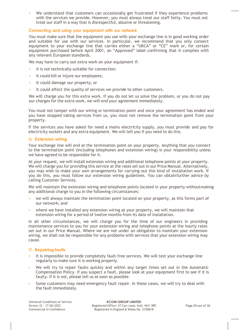> We understand that customers can occasionally get frustrated if they experience problems with the services we provide. However, you must always treat our staff fairly. You must not treat our staff in a way that is disrespectful, abusive or threatening.

# **Connecting and using your equipment with our network**

You must make sure that the equipment you use with your exchange line is in good working order and suitable for use with our services. In particular, we recommend that you only connect equipment to your exchange line that carries either a "UKCA" or "CE" mark or, for certain equipment purchased before April 2001, an "Approved" label confirming that it complies with any relevant European standards.

We may have to carry out extra work on your equipment if:

- it is not technically suitable for connection:
- > it could kill or injure our employees;
- > it could damage our property; or
- it could affect the quality of services we provide to other customers.

We will charge you for this extra work. If you do not let us solve the problem, or you do not pay our charges for the extra work, we will end your agreement immediately.

You must not tamper with our wiring or termination point and once your agreement has ended and you have stopped taking services from us, you must not remove the termination point from your property.

If the services you have asked for need a mains electricity supply, you must provide and pay for electricity sockets and any extra equipment. We will tell you if you need to do this.

# **16. Extension wiring**

Your exchange line will end at the termination point on your property. Anything that you connect to the termination point (including telephones and extension wiring) is your responsibility unless we have agreed to be responsible for it.

At your request, we will install extension wiring and additional telephone points at your property. We will charge you for providing this service at the rates set out in our Price Manual. Alternatively, you may wish to make your own arrangements for carrying out this kind of installation work. If you do this, you must follow our extension wiring guidelines. You can obtainfurther advice by calling Customer Services.

We will maintain the extension wiring and telephone points located in your property withoutmaking any additional charge to you in the following circumstances:

- > we will always maintain the termination point located on your property, as this forms part of our network; and
- where we have installed any extension wiring at your property, we will maintain that extension wiring for a period of twelve months from its date of installation.

In all other circumstances, we will charge you for the time of our engineers in providing maintenance services to you for your extension wiring and telephone points at the hourly rates set out in our Price Manual. Where we are not under an obligation to maintain your extension wiring, we shall not be responsible for any problems with services that your extension wiring may cause.

# **17. Repairing faults**

- > It is impossible to provide completely fault-free services. We will test your exchange line regularly to make sure it is working properly.
- We will try to repair faults quickly and within any target times set out in the Automatic Compensation Policy. If you suspect a fault, please look at your equipment first to see if it is faulty. If it is not, please tell us as soon as possible.
- > Some customers may need emergency fault repair. In these cases, we will try to deal with the fault immediately.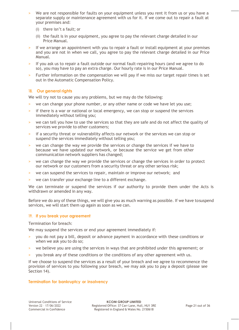- We are not responsible for faults on your equipment unless you rent it from us or you have a separate supply or maintenance agreement with us for it. If we come out to repair a fault at your premises and:
	- (i) there isn't a fault; or
	- (ii) the fault is in your equipment, you agree to pay the relevant charge detailed in our Price Manual.
- > If we arrange an appointment with you to repair a fault or install equipment at your premises and you are not in when we call, you agree to pay the relevant charge detailed in our Price Manual.
- > If you ask us to repair a fault outside our normal fault-repairing hours (and we agree to do so), you may have to pay an extra charge. Our hourly rate is in our Price Manual.
- Further information on the compensation we will pay if we miss our target repair times is set out in the Automatic Compensation Policy.

# **18. Our general rights**

We will try not to cause you any problems, but we may do the following:

- > we can change your phone number, or any other name or code we have let you use;
- > if there is a war or national or local emergency, we can stop or suspend the services immediately without telling you;
- we can tell you how to use the services so that they are safe and do not affect the quality of services we provide to other customers;
- if a security threat or vulnerability affects our network or the services we can stop or suspend the services immediately without telling you;
- > we can change the way we provide the services or change the services if we have to because we have updated our network, or because the service we get from other communication network suppliers has changed;
- > we can change the way we provide the services or change the services in order to protect our network or our customers from a security threat or any other serious risk;
- > we can suspend the services to repair, maintain or improve our network; and
- > we can transfer your exchange line to a different exchange.

We can terminate or suspend the services if our authority to provide them under the Acts is withdrawn or amended in any way.

Before we do any of these things, we will give you as much warning as possible. If we have to suspend services, we will start them up again as soon as we can.

# **19. If you break your agreement**

Termination for breach:

We may suspend the services or end your agreement immediately if:

- > you do not pay a bill, deposit or advance payment in accordance with these conditions or when we ask you to do so;
- we believe you are using the services in ways that are prohibited under this agreement; or
- > you break any of these conditions or the conditions of any other agreement with us.

If we choose to suspend the services as a result of your breach and we agree to recommence the provision of services to you following your breach, we may ask you to pay a deposit (please see Section 14).

# **Termination for bankruptcy or insolvency**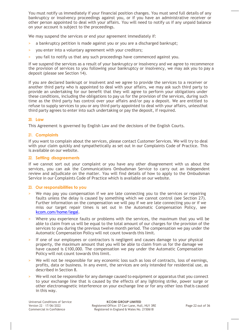You must notify us immediately if your financial position changes. You must send full details of any bankruptcy or insolvency proceedings against you, or if you have an administrative receiver or other person appointed to deal with your affairs. You will need to notify us if any unpaid balance on your account is subject to the proceedings.

We may suspend the services or end your agreement immediately if:

- a bankruptcy petition is made against you or you are a discharged bankrupt;
- > you enter into a voluntary agreement with your creditors;
- > you fail to notify us that any such proceedings have commenced against you.

If we suspend the services as a result of your bankruptcy or insolvency and we agree to recommence the provision of services to you following your bankruptcy or insolvency, we may ask you to pay a deposit (please see Section 14).

If you are declared bankrupt or insolvent and we agree to provide the services to a receiver or another third party who is appointed to deal with your affairs, we may ask such third party to provide an undertaking for our benefit that they will agree to perform your obligations under these conditions, including the obligations to pay us for the provision of the services, during such time as the third party has control over your affairs and/or pay a deposit. We are entitled to refuse to supply services to you or any third party appointed to deal with your affairs, unlessthat third party agrees to enter into such undertaking or pay the deposit, if required.

# **20. Law**

This Agreement is governed by English Law and the decisions of the English Courts.

# **21. Complaints**

If you want to complain about the services, please contact Customer Services. We will try to deal with your claim quickly and sympathetically as set out in our Complaints Code of Practice. This is available on our website.

# **22. Settling disagreements**

If we cannot sort out your complaint or you have any other disagreement with us about the services, you can ask the Communications Ombudsman Service to carry out an independent review and adjudicate on the matter. You will find details of how to apply to the Ombudsman Service in our Complaints Code of Practice which is available on our website.

# **23. Our responsibilities to you**

- We may pay you compensation if we are late connecting you to the services or repairing faults unless the delay is caused by something which we cannot control (see Section 27). Further information on the compensation we will pay if we are late connecting you or if we miss our target repair times is set out in the Automatic Compensation Policy, see [kcom.com/home/legal.](http://www.kcom.com/home/legal)
- > Where you experience faults or problems with the services, the maximum that you will be able to claim from us will be equal to the total amount of our charges for the provision of the services to you during the previous twelve month period. The compensation we pay under the Automatic Compensation Policy will not count towards this limit.
- If one of our employees or contractors is negligent and causes damage to your physical property, the maximum amount that you will be able to claim from us for the damage we have caused is £100,000. The compensation we pay under the Automatic Compensation Policy will not count towards this limit.
- We will not be responsible for any economic loss such as loss of contracts, loss of earnings, profits, data or business. In any event, the services are only intended for residential use, as described in Section 8.
- We will not be responsible for any damage caused to equipment or apparatus that you connect to your exchange line that is caused by the effects of any lightning strike, power surge or other electromagnetic interference on your exchange line or for any other loss thatis caused in this way.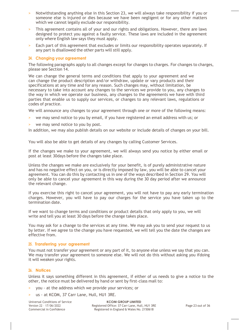- > Notwithstanding anything else in this Section 23, we will always take responsibility if you or someone else is injured or dies because we have been negligent or for any other matters which we cannot legally exclude our responsibility.
- > This agreement contains all of your and our rights and obligations. However, there are laws designed to protect you against a faulty service. These laws are included in the agreement only where English law says they must apply.
- > Each part of this agreement that excludes or limits our responsibility operates separately. If any part is disallowed the other parts will still apply.

#### **24. Changing your agreement**

The following paragraphs apply to all changes except for changes to charges. For changes to charges, please see Section 14.

We can change the general terms and conditions that apply to your agreement and we can change the product description and/or withdraw, update or vary products and their specifications at any time and for any reason. Such changes may, without limitation, be necessary to take into account any changes to the services we provide to you, any changes to the way in which we operate our business, any changes to the agreements we have with third parties that enable us to supply our services, or changes to any relevant laws, regulations or codes of practice.

We will announce any changes to your agreement through one or more of the following means:

- > we may send notice to you by email, if you have registered an email address with us; or
- > we may send notice to you by post.

In addition, we may also publish details on our website or include details of changes on your bill.

You will also be able to get details of any changes by calling Customer Services.

If the changes we make to your agreement, we will always send you notice by either email or post at least 30days before the changes take place.

Unless the changes we make are exclusively for your benefit, is of purely administrative nature and has no negative effect on you, or is directly imposed by law, you will be able to cancel your agreement. You can do this by contacting us in one of the ways described in Section 29. You will only be able to cancel your agreement in this way during the 30 day period after we announce the relevant change.

If you exercise this right to cancel your agreement, you will not have to pay any early termination charges. However, you will have to pay our charges for the service you have taken up to the termination date.

If we want to change terms and conditions or product details that only apply to you, we will write and tell you at least 30 days before the change takes place.

You may ask for a change to the services at any time. We may ask you to send your request to us by letter. If we agree to the change you have requested, we will tell you the date the changes are effective from.

# **25. Transferring your agreement**

You must not transfer your agreement or any part of it, to anyone else unless we say that you can. We may transfer your agreement to someone else. We will not do this without asking you ifdoing it will weaken your rights.

# **26. Notices**

Unless it says something different in this agreement, if either of us needs to give a notice to the other, the notice must be delivered by hand or sent by first-class mail to:

- > you at the address which we provide your services; or
- us at KCOM, 37 Carr Lane, Hull, HU1 3RE.

Universal Conditions of Service Version 22 – 17/06/2022 Commercial in Confidence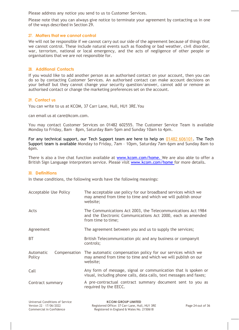Please address any notice you send to us to Customer Services.

Please note that you can always give notice to terminate your agreement by contacting us in one of the ways described in Section 29.

# **27. Matters that we cannot control**

We will not be responsible if we cannot carry out our side of the agreement because of things that we cannot control. These include natural events such as flooding or bad weather, civil disorder, war, terrorism, national or local emergency, and the acts of negligence of other people or organisations that we are not responsible for.

#### **28. Additional Contacts**

If you would like to add another person as an authorised contact on your account, then you can do so by contacting Customer Services. An authorised contact can make account decisions on your behalf but they cannot change your security question/answer, cannot add or remove an authorised contact or change the marketing preferences set on the account.

#### **29. Contact us**

You can write to us at KCOM, 37 Carr Lane, Hull, HU1 3RE.You

can email us at [care@kcom.com.](mailto:care@kcom.com)

You may contact Customer Services on 01482 602555. The Customer Service Team is available Monday to Friday, 8am – 8pm, Saturday 8am–5pm and Sunday 10am to 4pm.

For any technical support, our Tech Support team are here to help on [01482 606101](callto:01482606101). The Tech Support team is available Monday to Friday, 7am – 10pm, Saturday 7am–6pm and Sunday 8am to 6pm.

There is also a live chat function available at [www.kcom.com/home.](http://www.kcom.com/home.) We are also able to offer a British Sign Language interpreters service. Please visit [www.kcom.com/home](http://www.kcom.com/home) for more details.

#### **30. Definitions**

In these conditions, the following words have the following meanings:

| Acceptable Use Policy               | The acceptable use policy for our broadband services which we<br>may amend from time to time and which we will publish onour<br>website;          |
|-------------------------------------|---------------------------------------------------------------------------------------------------------------------------------------------------|
| Acts                                | The Communications Act 2003, the Telecommunications Act 1984<br>and the Electronic Communications Act 2000, each as amended<br>from time to time; |
| Agreement                           | The agreement between you and us to supply the services;                                                                                          |
| <b>BT</b>                           | British Telecommunication plc and any business or companyit<br>controls;                                                                          |
| Automatic<br>Compensation<br>Policy | The automatic compensation policy for our services which we<br>may amend from time to time and which we will publish on our<br>website;           |
| Call                                | Any form of message, signal or communication that is spoken or<br>visual, including phone calls, data calls, text messages and faxes;             |
| Contract summary                    | A pre-contractual contract summary document sent to you as<br>required by the EECC.                                                               |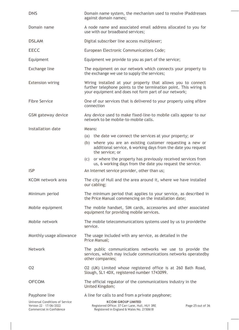| <b>DNS</b>                                                                             | Domain name system, the mechanism used to resolve IPaddresses<br>against domain names;                                                                                                     |
|----------------------------------------------------------------------------------------|--------------------------------------------------------------------------------------------------------------------------------------------------------------------------------------------|
| Domain name                                                                            | A node name and associated email address allocated to you for<br>use with our broadband services;                                                                                          |
| <b>DSLAM</b>                                                                           | Digital subscriber line access multiplexer;                                                                                                                                                |
| EECC                                                                                   | European Electronic Communications Code;                                                                                                                                                   |
| Equipment                                                                              | Equipment we provide to you as part of the service;                                                                                                                                        |
| Exchange line                                                                          | The equipment on our network which connects your property to<br>the exchange we use to supply the services;                                                                                |
| <b>Extension wiring</b>                                                                | Wiring installed at your property that allows you to connect<br>further telephone points to the termination point. This wiring is<br>your equipment and does not form part of our network; |
| <b>Fibre Service</b>                                                                   | One of our services that is delivered to your property using afibre<br>connection                                                                                                          |
| GSM gateway device                                                                     | Any device used to make fixed-line-to mobile calls appear to our<br>network to be mobile-to-mobile calls.                                                                                  |
| Installation date                                                                      | Means:                                                                                                                                                                                     |
|                                                                                        | (a) the date we connect the services at your property; or                                                                                                                                  |
|                                                                                        | (b) where you are an existing customer requesting a new or<br>additional service, 6 working days from the date you request<br>the service; or                                              |
|                                                                                        | (c) or where the property has previously received services from<br>us, 6 working days from the date you request the service.                                                               |
| <b>ISP</b>                                                                             | An Internet service provider, other than us;                                                                                                                                               |
| KCOM network area                                                                      | The city of Hull and the area around it, where we have installed<br>our cabling;                                                                                                           |
| Minimum period                                                                         | The minimum period that applies to your service, as described in<br>the Price Manual commencing on the installation date;                                                                  |
| Mobile equipment                                                                       | The mobile handset, SIM cards, accessories and other associated<br>equipment for providing mobile services.                                                                                |
| Mobile network                                                                         | The mobile telecommunications systems used by us to providethe<br>service.                                                                                                                 |
| Monthly usage allowance                                                                | The usage included with any service, as detailed in the<br>Price Manual;                                                                                                                   |
| Network                                                                                | The public communications networks we use to provide the<br>services, which may include communications networks operatedby<br>other companies;                                             |
| 02                                                                                     | O2 (UK) Limited whose registered office is at 260 Bath Road,<br>Slough, SL1 4DX, registered number 1743099.                                                                                |
| <b>OFCOM</b>                                                                           | The official regulator of the communications industry in the<br>United Kingdom;                                                                                                            |
| Payphone line                                                                          | A line for calls to and from a private payphone;                                                                                                                                           |
| Universal Conditions of Service<br>Version 22 - 17/06/2022<br>Commercial in Confidence | <b>KCOM GROUP LIMITED</b><br>Registered Office: 37 Carr Lane, Hull, HU1 3RE<br>Page 25 out of 36<br>Registered in England & Wales No. 2150618                                              |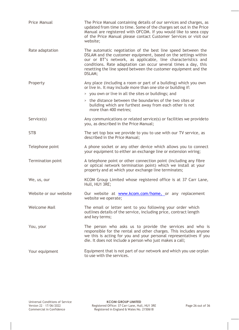| Price Manual           | The Price Manual containing details of our services and charges, as<br>updated from time to time. Some of the charges set out in the Price<br>Manual are registered with OFCOM. If you would like to seea copy<br>of the Price Manual please contact Customer Services or visit our<br>website:                                                |
|------------------------|------------------------------------------------------------------------------------------------------------------------------------------------------------------------------------------------------------------------------------------------------------------------------------------------------------------------------------------------|
| Rate adaptation        | The automatic negotiation of the best line speed between the<br>DSLAM and the customer equipment, based on the settings within<br>our or BT's network, as applicable, line characteristics and<br>conditions. Rate adaptation can occur several times a day, this<br>resetting the line speed between the customer equipment and the<br>DSLAM; |
| Property               | Any place (including a room or part of a building) which you own<br>or live in. It may include more than one site or building if:                                                                                                                                                                                                              |
|                        | > you own or live in all the sites or buildings; and                                                                                                                                                                                                                                                                                           |
|                        | > the distance between the boundaries of the two sites or<br>building which are furthest away from each other is not<br>more than 400 metres:                                                                                                                                                                                                  |
| Service(s)             | Any communications or related service(s) or facilities we provideto<br>you, as described in the Price Manual;                                                                                                                                                                                                                                  |
| <b>STB</b>             | The set top box we provide to you to use with our TV service, as<br>described in the Price Manual;                                                                                                                                                                                                                                             |
| Telephone point        | A phone socket or any other device which allows you to connect<br>your equipment to either an exchange line or extension wiring;                                                                                                                                                                                                               |
| Termination point      | A telephone point or other connection point (including any fibre<br>or optical network termination point) which we install at your<br>property and at which your exchange line terminates;                                                                                                                                                     |
| We, us, our            | KCOM Group Limited whose registered office is at 37 Carr Lane,<br>Hull, HU1 3RE;                                                                                                                                                                                                                                                               |
| Website or our website | Our website at www.kcom.com/home, or any replacement<br>website we operate;                                                                                                                                                                                                                                                                    |
| <b>Welcome Mail</b>    | The email or letter sent to you following your order which<br>outlines details of the service, including price, contract length<br>and key terms;                                                                                                                                                                                              |
| You, your              | The person who asks us to provide the services and who is<br>responsible for the rental and other charges. This includes anyone<br>we this is acting for you and your personal representatives if you<br>die. It does not include a person who just makes a call;                                                                              |
| Your equipment         | Equipment that is not part of our network and which you use orplan<br>to use with the services.                                                                                                                                                                                                                                                |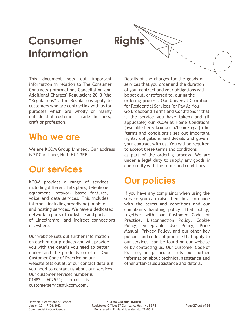# **Consumer Rights Information**



This document sets out important information in relation to The Consumer Contracts (Information, Cancellation and Additional Charges) Regulations 2013 (the "Regulations"). The Regulations apply to customers who are contracting with us for purposes which are wholly or mainly outside that customer's trade, business, craft or profession.

# **Who we are**

We are KCOM Group Limited. Our address is 37 Carr Lane, Hull, HU1 3RE.

# **Our services**

KCOM provides a range of services including different Talk plans, telephone equipment, network based features, voice and data services. This includes internet (including broadband), mobile and hosting services. We have a dedicated network in parts of Yorkshire and parts of Lincolnshire, and indirect connections elsewhere.

Our website sets out further information on each of our products and will provide you with the details you need to better understand the products on offer. Our Customer Code of Practice on our website sets out all of our contact details if you need to contact us about our services. Our customer services number is 01482 602555; email is [customerservices@kcom.com.](mailto:customerservices@kcom.com)

Details of the charges for the goods or services that you order and the duration of your contract and your obligations will be set out, or referred to, during the ordering process. Our Universal Conditions for Residential Services (or Pay As You Go Broadband Terms and Conditions if that is the service you have taken) and (if applicable) our KCOM at Home Conditions (available here: kcom.com/home/legal) (the 'terms and conditions') set out important rights, obligations and details and govern your contract with us. You will be required to accept these terms and conditions as part of the ordering process. We are under a legal duty to supply any goods in conformity with the terms and conditions.

# **Our policies**

If you have any complaints when using the service you can raise them in accordance with the terms and conditions and our complaints handling policy. That policy, together with our Customer Code of Practice, Disconnection Policy, Cookie Policy, Acceptable Use Policy, Price Manual, Privacy Policy, and our other key policies and codes of practice that apply to our services, can be found on our website or by contacting us. Our Customer Code of Practice, in particular, sets out further information about technical assistance and other after-sales assistance and details.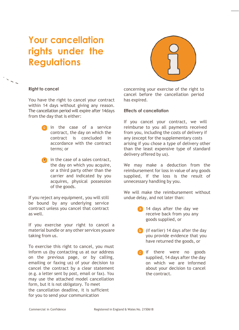# **Your cancellation rights under the Regulations**



# **Right to cancel**

You have the right to cancel your contract within 14 days without giving any reason. The cancellation period will expire after 14days from the day that is either:

- **in** the case of a service contract, the day on which the contract is concluded in accordance with the contract terms; or
- $\bullet$  in the case of a sales contract, the day on which you acquire, or a third party other than the carrier and indicated by you acquires, physical possession of the goods.

If you reject any equipment, you will still be bound by any underlying service contract unless you cancel that contract as well.

If you exercise your right to cancel a material bundle or any other services youare taking from us.

To exercise this right to cancel, you must inform us (by contacting us at our address on the previous page, or by calling, emailing or faxing us) of your decision to cancel the contract by a clear statement (e.g. a letter sent by post, email or fax). You may use the attached model cancellation form, but it is not obligatory. To meet the cancellation deadline, it is sufficient for you to send your communication

concerning your exercise of the right to cancel before the cancellation period has expired.

# **Effects of cancellation**

If you cancel your contract, we will reimburse to you all payments received from you, including the costs of delivery if any (except for the supplementary costs arising if you chose a type of delivery other than the least expensive type of standard delivery offered by us).

We may make a deduction from the reimbursement for loss in value of any goods supplied, if the loss is the result of unnecessary handling by you.

We will make the reimbursement without undue delay, and not later than:

- **14 days after the day we** receive back from you any goods supplied, or
- **b** (if earlier) 14 days after the day you provide evidence that you have returned the goods, or
- **c** if there were no goods supplied, 14 days after the day on which we are informed about your decision to cancel the contract.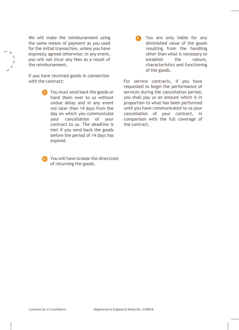We will make the reimbursement using the same means of payment as you used for the initial transaction, unless you have expressly agreed otherwise; in any event, you will not incur any fees as a result of the reimbursement.

If you have received goods in connection with the contract:

> You must send back the goods or hand them over to us without undue delay and in any event not later than 14 days from the day on which you communicate your cancellation of your contract to us. The deadline is met if you send back the goods before the period of 14 days has expired.

**B** You will have to bear the directcost of returning the goods.

You are only liable for any **c**•diminished value of the goods resulting from the handling other than what is necessary to establish the nature, characteristics and functioning of the goods.

For service contracts, if you have requested to begin the performance of services during the cancellation period, you shall pay us an amount which is in proportion to what has been performed until you have communicated to us your cancellation of your contract, in comparison with the full coverage of the contract.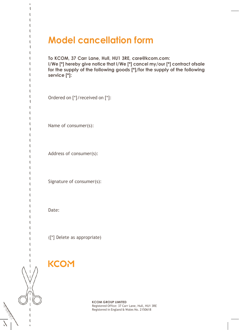# **Model cancellation form**

**To KCOM, 37 Carr Lane, Hull, HU1 3RE, [care@kcom.com:](mailto:care@kcom.com) I/We [\*] hereby give notice that I/We [\*] cancel my/our [\*] contract ofsale for the supply of the following goods [\*]/for the supply of the following service [\*]:**

Ordered on [\*]/received on [\*]:

Name of consumer(s):

Address of consumer(s):

Signature of consumer(s):

Date:

ţ ţ į

 $\mathfrak k$ ŧ ţ ţ  $\mathfrak{f}% _{1}=\mathfrak{f}_{2}$ ŧ ł Í  $\mathfrak{f}% _{0}$ į ŧ

ŧ

Í ţ Í I I ŧ

ŧ ŧ  $\mathbf{f}$ ŧ Í ŧ  $\mathfrak{f}% _{1}=\mathfrak{f}_{2}$ ţ ŧ ŧ ŧ ŧ

([\*] Delete as appropriate)

# **KCOM**